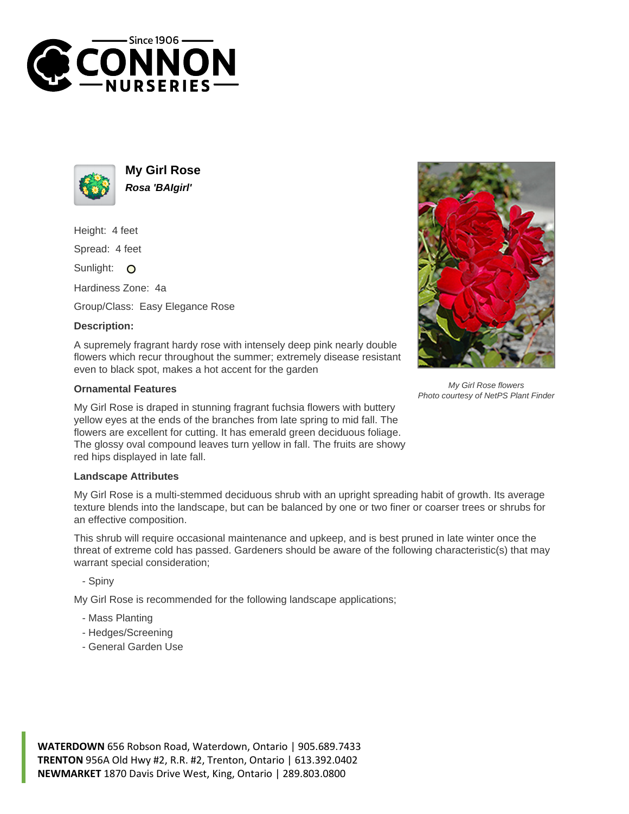



**My Girl Rose Rosa 'BAIgirl'**

Height: 4 feet

Spread: 4 feet

Sunlight: O

Hardiness Zone: 4a

Group/Class: Easy Elegance Rose

## **Description:**

A supremely fragrant hardy rose with intensely deep pink nearly double flowers which recur throughout the summer; extremely disease resistant even to black spot, makes a hot accent for the garden

## **Ornamental Features**

My Girl Rose is draped in stunning fragrant fuchsia flowers with buttery yellow eyes at the ends of the branches from late spring to mid fall. The flowers are excellent for cutting. It has emerald green deciduous foliage. The glossy oval compound leaves turn yellow in fall. The fruits are showy red hips displayed in late fall.

## **Landscape Attributes**

My Girl Rose is a multi-stemmed deciduous shrub with an upright spreading habit of growth. Its average texture blends into the landscape, but can be balanced by one or two finer or coarser trees or shrubs for an effective composition.

This shrub will require occasional maintenance and upkeep, and is best pruned in late winter once the threat of extreme cold has passed. Gardeners should be aware of the following characteristic(s) that may warrant special consideration;

- Spiny

My Girl Rose is recommended for the following landscape applications;

- Mass Planting
- Hedges/Screening
- General Garden Use



My Girl Rose flowers Photo courtesy of NetPS Plant Finder